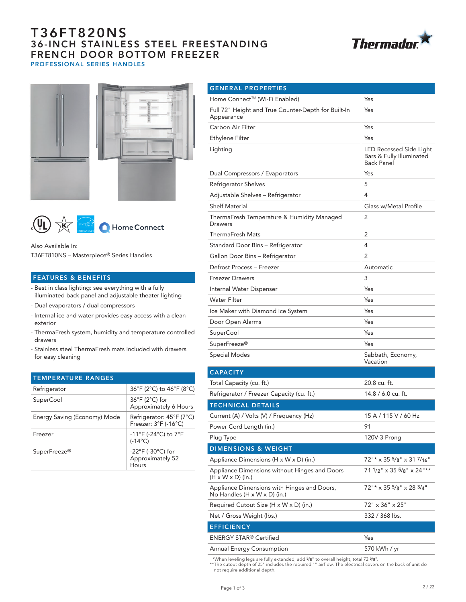# T36FT820NS 36-INCH STAINLESS STEEL FREESTANDING FRENCH DOOR BOTTOM FREEZER PROFESSIONAL SERIES HANDLES







Also Available In: T36FT810NS – Masterpiece® Series Handles

## FEATURES & BENEFITS

- Best in class lighting: see everything with a fully illuminated back panel and adjustable theater lighting
- Dual evaporators / dual compressors
- Internal ice and water provides easy access with a clean exterior
- ThermaFresh system, humidity and temperature controlled drawers
- Stainless steel ThermaFresh mats included with drawers for easy cleaning

| <b>TEMPERATURE RANGES</b>    |                                                                     |
|------------------------------|---------------------------------------------------------------------|
| Refrigerator                 | 36°F (2°C) to 46°F (8°C)                                            |
| SuperCool                    | $36^{\circ}$ F (2 $^{\circ}$ C) for<br>Approximately 6 Hours        |
| Energy Saving (Economy) Mode | Refrigerator: 45°F (7°C)<br>Freezer: 3°F (-16°C)                    |
| Freezer                      | -11°F (-24°C) to 7°F<br>$(-14^{\circ}C)$                            |
| SuperFreeze <sup>®</sup>     | $-22^{\circ}$ F (-30 $^{\circ}$ C) for<br>Approximately 52<br>Hours |

| <b>GENERAL PROPERTIES</b>                                                      |                                                                          |
|--------------------------------------------------------------------------------|--------------------------------------------------------------------------|
| Home Connect™ (Wi-Fi Enabled)                                                  | Yes                                                                      |
| Full 72" Height and True Counter-Depth for Built-In<br>Appearance              | Yes                                                                      |
| Carbon Air Filter                                                              | Yes                                                                      |
| Ethylene Filter                                                                | Yes                                                                      |
| Lighting                                                                       | LED Recessed Side Light<br>Bars & Fully Illuminated<br><b>Back Panel</b> |
| Dual Compressors / Evaporators                                                 | Yes                                                                      |
| Refrigerator Shelves                                                           | 5                                                                        |
| Adjustable Shelves - Refrigerator                                              | 4                                                                        |
| <b>Shelf Material</b>                                                          | Glass w/Metal Profile                                                    |
| ThermaFresh Temperature & Humidity Managed<br>Drawers                          | 2                                                                        |
| <b>ThermaFresh Mats</b>                                                        | 2                                                                        |
| Standard Door Bins - Refrigerator                                              | 4                                                                        |
| Gallon Door Bins - Refrigerator                                                | 2                                                                        |
| Defrost Process - Freezer                                                      | Automatic                                                                |
| <b>Freezer Drawers</b>                                                         | 3                                                                        |
| Internal Water Dispenser                                                       | Yes                                                                      |
| <b>Water Filter</b>                                                            | Yes                                                                      |
| Ice Maker with Diamond Ice System                                              | Yes                                                                      |
| Door Open Alarms                                                               | Yes                                                                      |
| <b>SuperCool</b>                                                               | Yes                                                                      |
| SuperFreeze®                                                                   | Yes                                                                      |
| <b>Special Modes</b>                                                           | Sabbath, Economy,<br>Vacation                                            |
| <b>CAPACITY</b>                                                                |                                                                          |
| Total Capacity (cu. ft.)                                                       | 20.8 cu. ft.                                                             |
| Refrigerator / Freezer Capacity (cu. ft.)                                      | 14.8 / 6.0 cu. ft.                                                       |
| <b>TECHNICAL DETAILS</b>                                                       |                                                                          |
| Current (A) / Volts (V) / Frequency (Hz)                                       | 15 A / 115 V / 60 Hz                                                     |
| Power Cord Length (in.)                                                        | 91                                                                       |
| Plug Type                                                                      | 120V-3 Prong                                                             |
| <b>DIMENSIONS &amp; WEIGHT</b>                                                 |                                                                          |
| Appliance Dimensions ( $H \times W \times D$ ) (in.)                           | $72$ "* x 35 5/8" x 31 7/16"                                             |
| Appliance Dimensions without Hinges and Doors<br>$(H \times W \times D)$ (in.) | 71 1/2" x 35 5/8" x 24"**                                                |
| Appliance Dimensions with Hinges and Doors,<br>No Handles (H x W x D) (in.)    | $72''$ $\times$ 35 $5/8''$ $\times$ 28 $3/4''$                           |
| Required Cutout Size (H x W x D) (in.)                                         | 72" x 36" x 25"                                                          |
| Net / Gross Weight (lbs.)                                                      | 332 / 368 lbs.                                                           |
| <b>EFFICIENCY</b>                                                              |                                                                          |
| <b>ENERGY STAR® Certified</b>                                                  | Yes                                                                      |
| Annual Energy Consumption                                                      | 570 kWh / yr                                                             |

 \*When leveling legs are fully extended, add 5/8" to overall height, total 72 5/8". \*\*The cutout depth of 25" includes the required 1" airflow. The electrical covers on the back of unit do not require additional depth.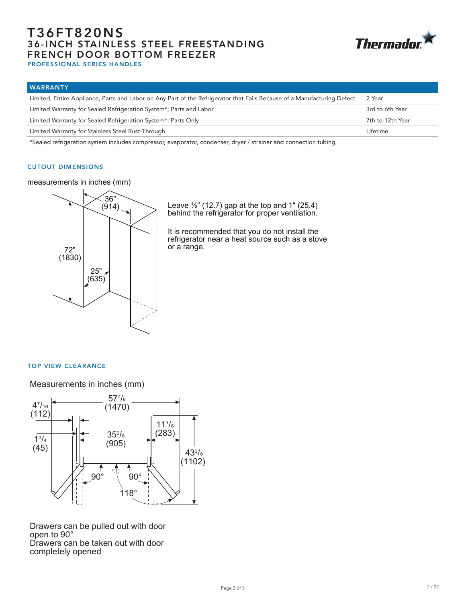# T36FT820NS 36-INCH STAINLESS STEEL FREESTANDING FRENCH DOOR BOTTOM FREEZER



PROFESSIONAL SERIES HANDLES

| <b>WARRANTY</b>                                                                                                         |                  |
|-------------------------------------------------------------------------------------------------------------------------|------------------|
| Limited, Entire Appliance, Parts and Labor on Any Part of the Refrigerator that Fails Because of a Manufacturing Defect | 2 Year           |
| Limited Warranty for Sealed Refrigeration System*; Parts and Labor                                                      | 3rd to 6th Year  |
| Limited Warranty for Sealed Refrigeration System*; Parts Only                                                           | 7th to 12th Year |
| Limited Warranty for Stainless Steel Rust-Through                                                                       | Lifetime         |

\*Sealed refrigeration system includes compressor, evaporator, condenser, dryer / strainer and connection tubing

### CUTOUT DIMENSIONS

measurements in inches (mm)



Leave  $\frac{1}{2}$ " (12.7) gap at the top and 1" (25.4) behind the refrigerator for proper ventilation.

It is recommended that you do not install the refrigerator near a heat source such as a stove or a range.

## TOP VIEW CLEARANCE

Measurements in inches (mm)



Drawers can be taken out with door completely opened Drawers can be pulled out with door open to 90°